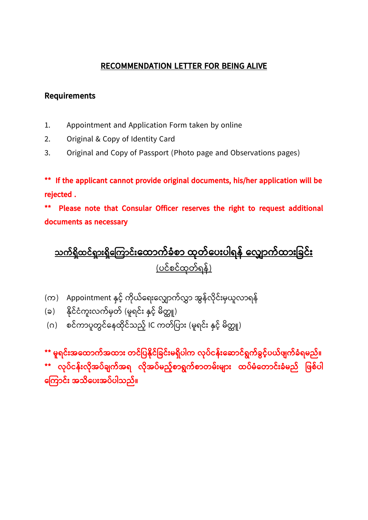## **RECOMMENDATION LETTER FOR BEING ALIVE**

## **Requirements**

- 1. Appointment and Application Form taken by online
- 2. Original & Copy of Identity Card
- 3. Original and Copy of Passport (Photo page and Observations pages)

**\*\* If the applicant cannot provide original documents, his/her application will be rejected .** 

**\*\* Please note that Consular Officer reserves the right to request additional documents as necessary**

**သက်ရ ှိထင ်ရ ြောှားရ ှိက ကြောင ်ှားကထြောက်ခံစြော ထုတ်ကပှားပါရန် က ြောက်ထြောှားခခင်ှား** (ပင်စင်ထုတ်ရန်)

- (က) Appointment နှင့် ကိုယ်ရေးလျှောက်လွှာ အွန်လိုင်းမှယူလာရန်
- (ခ) နိုင်ငံကူးလက်မှတ် (မူရင်း နှင့် မိတ္တူ)
- (ဂ) စင်ကာပူတွင်နေထိုင်သည့် IC ကတ်ပြား (မူရင်း နှင့် မိတ္တူ)

**\*\* မူရင်ှားအကထြောက်အထြောှား တင်ခပနှိုင်ခခင်ှားမရ ှိပါက ုပ်ငန်ှားက ြောင်ရွက်ခွင့််ပယ်ဖျက်ခ ံရမည်။ \*\* ုပ်ငန်ှား ှိုအပ်ချက်အရ ှိုအပ်မည့််စြောရွက်စြောတမ်ှားမျြောှား ထပ်မံကတြောင်ှားခံမည် ခဖစ်ပါ က ကြောင်ှား အသှိကပှားအပ်ပါသည်။**